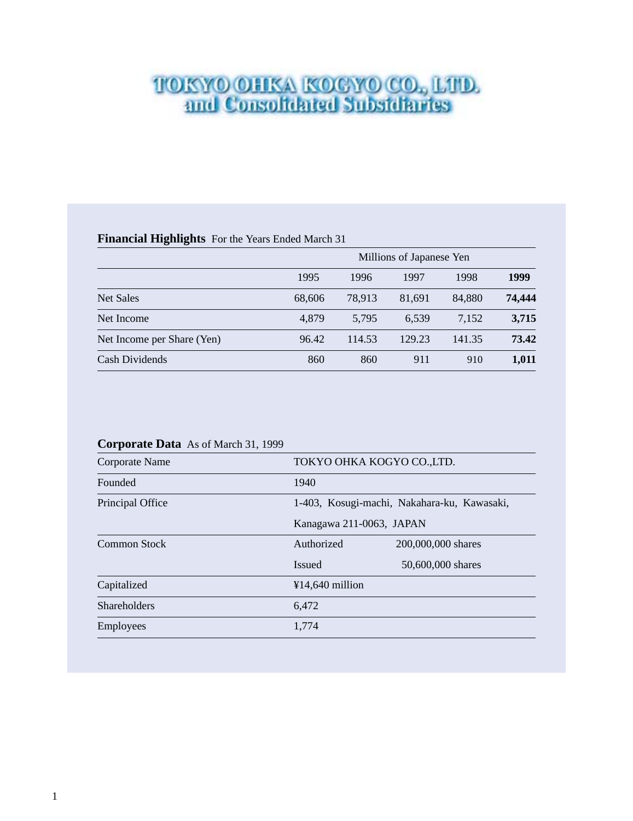# TOKYO OHKA KOGYO CO., LTD.<br>and Consolidated Subsidiaries

# **Financial Highlights** For the Years Ended March 31

|                            |        | Millions of Japanese Yen |        |        |        |  |  |  |  |
|----------------------------|--------|--------------------------|--------|--------|--------|--|--|--|--|
|                            | 1995   | 1996                     | 1997   | 1998   | 1999   |  |  |  |  |
| <b>Net Sales</b>           | 68,606 | 78.913                   | 81,691 | 84,880 | 74,444 |  |  |  |  |
| Net Income                 | 4,879  | 5.795                    | 6.539  | 7,152  | 3,715  |  |  |  |  |
| Net Income per Share (Yen) | 96.42  | 114.53                   | 129.23 | 141.35 | 73.42  |  |  |  |  |
| Cash Dividends             | 860    | 860                      | 911    | 910    | 1,011  |  |  |  |  |

# **Corporate Data** As of March 31, 1999

| Corporate Name      |                          | TOKYO OHKA KOGYO CO.,LTD.                   |
|---------------------|--------------------------|---------------------------------------------|
| Founded             | 1940                     |                                             |
| Principal Office    |                          | 1-403, Kosugi-machi, Nakahara-ku, Kawasaki, |
|                     | Kanagawa 211-0063, JAPAN |                                             |
| Common Stock        | Authorized               | 200,000,000 shares                          |
|                     | <b>Issued</b>            | 50,600,000 shares                           |
| Capitalized         | $¥14,640$ million        |                                             |
| <b>Shareholders</b> | 6,472                    |                                             |
| Employees           | 1,774                    |                                             |
|                     |                          |                                             |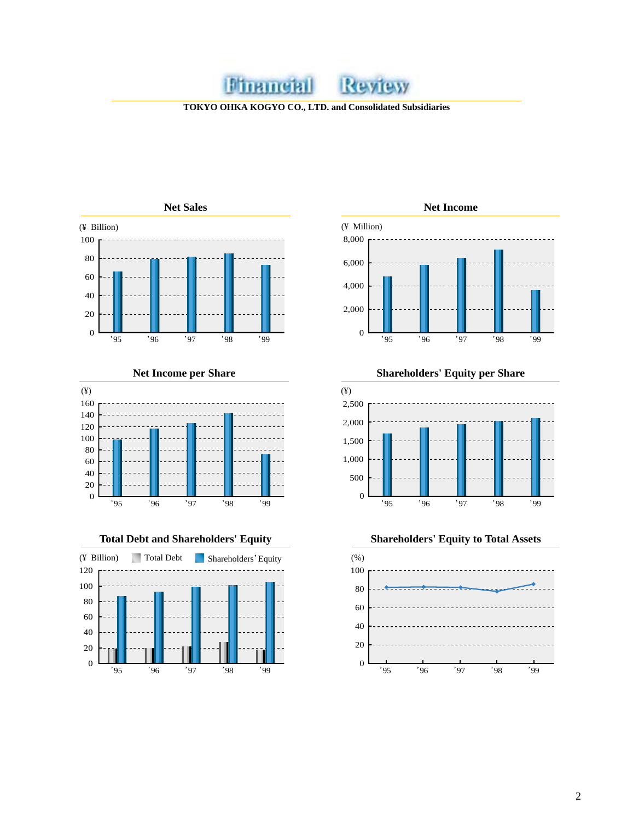**TOKYO OHKA KOGYO CO., LTD. and Consolidated Subsidiaries**

Review

**Minameral** 









**Net Income per Share Shareholders' Equity per Share**



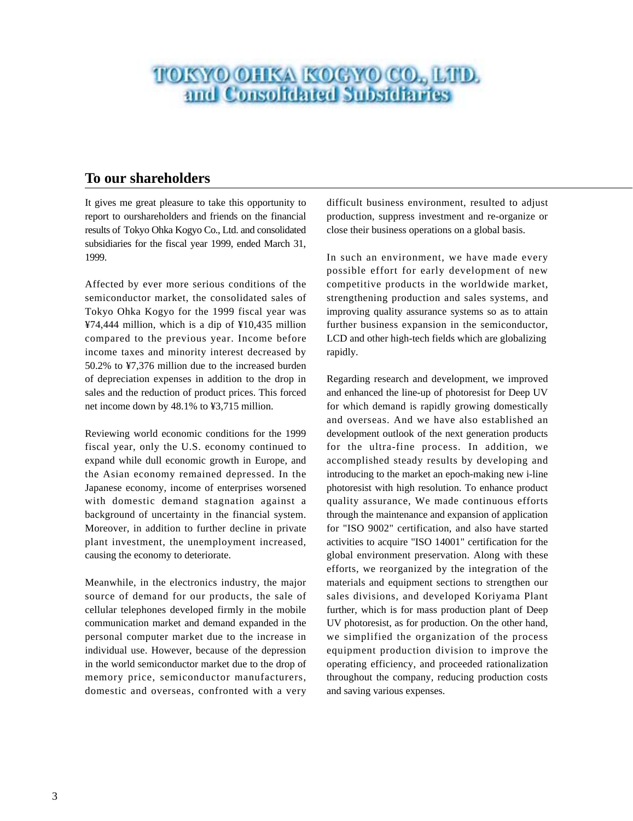# **TOKYO OHKA KOGYO CO., LIID.**<br>and Consolidated Subsidiaries

# **To our shareholders**

It gives me great pleasure to take this opportunity to report to ourshareholders and friends on the financial results of Tokyo Ohka Kogyo Co., Ltd. and consolidated subsidiaries for the fiscal year 1999, ended March 31, 1999.

Affected by ever more serious conditions of the semiconductor market, the consolidated sales of Tokyo Ohka Kogyo for the 1999 fiscal year was ¥74,444 million, which is a dip of ¥10,435 million compared to the previous year. Income before income taxes and minority interest decreased by 50.2% to ¥7,376 million due to the increased burden of depreciation expenses in addition to the drop in sales and the reduction of product prices. This forced net income down by 48.1% to ¥3,715 million.

Reviewing world economic conditions for the 1999 fiscal year, only the U.S. economy continued to expand while dull economic growth in Europe, and the Asian economy remained depressed. In the Japanese economy, income of enterprises worsened with domestic demand stagnation against a background of uncertainty in the financial system. Moreover, in addition to further decline in private plant investment, the unemployment increased, causing the economy to deteriorate.

Meanwhile, in the electronics industry, the major source of demand for our products, the sale of cellular telephones developed firmly in the mobile communication market and demand expanded in the personal computer market due to the increase in individual use. However, because of the depression in the world semiconductor market due to the drop of memory price, semiconductor manufacturers, domestic and overseas, confronted with a very difficult business environment, resulted to adjust production, suppress investment and re-organize or close their business operations on a global basis.

In such an environment, we have made every possible effort for early development of new competitive products in the worldwide market, strengthening production and sales systems, and improving quality assurance systems so as to attain further business expansion in the semiconductor, LCD and other high-tech fields which are globalizing rapidly.

Regarding research and development, we improved and enhanced the line-up of photoresist for Deep UV for which demand is rapidly growing domestically and overseas. And we have also established an development outlook of the next generation products for the ultra-fine process. In addition, we accomplished steady results by developing and introducing to the market an epoch-making new i-line photoresist with high resolution. To enhance product quality assurance, We made continuous efforts through the maintenance and expansion of application for "ISO 9002" certification, and also have started activities to acquire "ISO 14001" certification for the global environment preservation. Along with these efforts, we reorganized by the integration of the materials and equipment sections to strengthen our sales divisions, and developed Koriyama Plant further, which is for mass production plant of Deep UV photoresist, as for production. On the other hand, we simplified the organization of the process equipment production division to improve the operating efficiency, and proceeded rationalization throughout the company, reducing production costs and saving various expenses.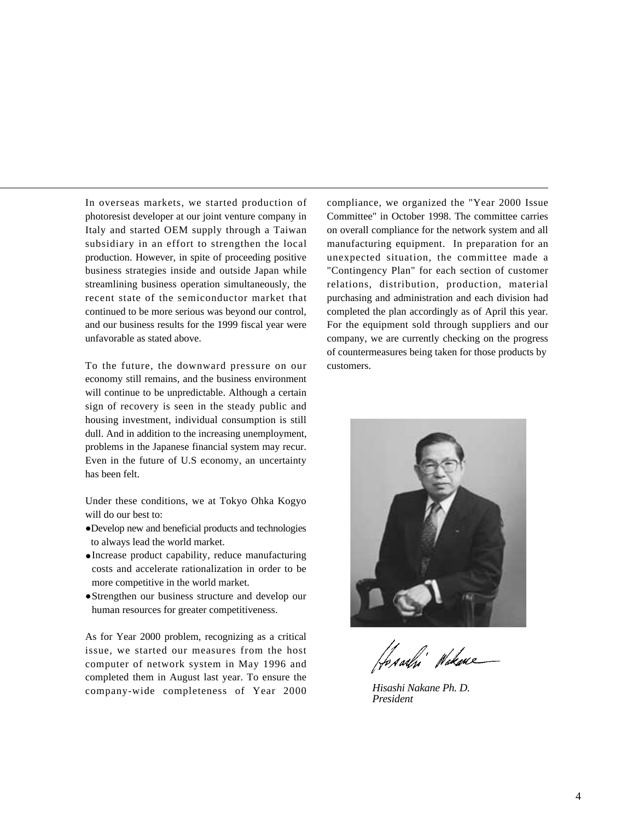In overseas markets, we started production of photoresist developer at our joint venture company in Italy and started OEM supply through a Taiwan subsidiary in an effort to strengthen the local production. However, in spite of proceeding positive business strategies inside and outside Japan while streamlining business operation simultaneously, the recent state of the semiconductor market that continued to be more serious was beyond our control, and our business results for the 1999 fiscal year were unfavorable as stated above.

To the future, the downward pressure on our economy still remains, and the business environment will continue to be unpredictable. Although a certain sign of recovery is seen in the steady public and housing investment, individual consumption is still dull. And in addition to the increasing unemployment, problems in the Japanese financial system may recur. Even in the future of U.S economy, an uncertainty has been felt.

Under these conditions, we at Tokyo Ohka Kogyo will do our best to:

- Develop new and beneficial products and technologies to always lead the world market.
- Increase product capability, reduce manufacturing costs and accelerate rationalization in order to be more competitive in the world market.
- Strengthen our business structure and develop our human resources for greater competitiveness.

As for Year 2000 problem, recognizing as a critical issue, we started our measures from the host computer of network system in May 1996 and completed them in August last year. To ensure the company-wide completeness of Year 2000

compliance, we organized the "Year 2000 Issue Committee" in October 1998. The committee carries on overall compliance for the network system and all manufacturing equipment. In preparation for an unexpected situation, the committee made a "Contingency Plan" for each section of customer relations, distribution, production, material purchasing and administration and each division had completed the plan accordingly as of April this year. For the equipment sold through suppliers and our company, we are currently checking on the progress of countermeasures being taken for those products by customers.



11<br>Aadhi Wakane

*Hisashi Nakane Ph. D. President*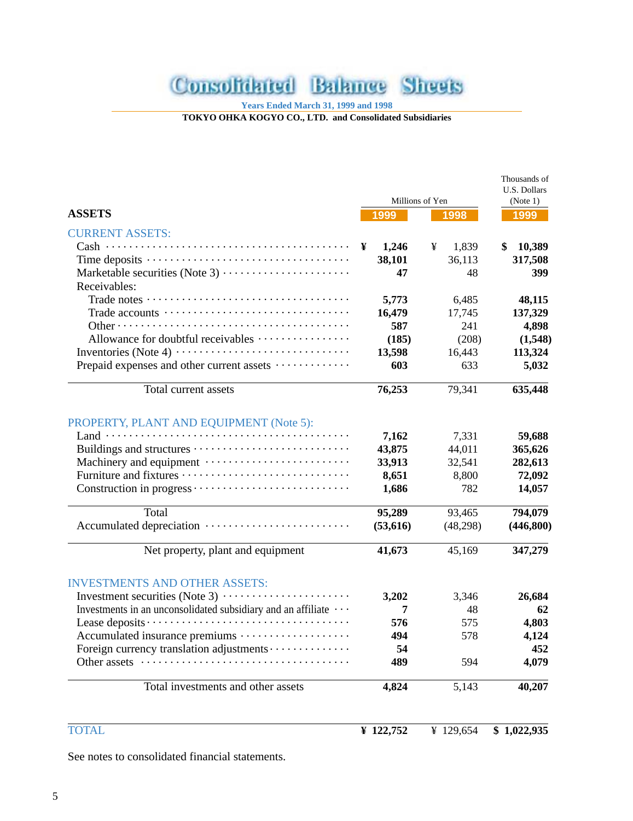# **Consolidated Balance Sheets**

**Years Ended March 31, 1999 and 1998**

**TOKYO OHKA KOGYO CO., LTD. and Consolidated Subsidiaries**

|                                                              |                 |            | Thousands of<br>U.S. Dollars |
|--------------------------------------------------------------|-----------------|------------|------------------------------|
|                                                              | Millions of Yen | (Note 1)   |                              |
| <b>ASSETS</b>                                                | 1999            | 1998       | 1999                         |
| <b>CURRENT ASSETS:</b>                                       |                 |            |                              |
|                                                              | ¥<br>1,246      | 1,839<br>¥ | \$<br>10,389                 |
|                                                              | 38,101          | 36,113     | 317,508                      |
|                                                              | 47              | 48         | 399                          |
| Receivables:                                                 |                 |            |                              |
|                                                              | 5,773           | 6,485      | 48,115                       |
| Trade accounts                                               | 16,479          | 17,745     | 137,329                      |
|                                                              | 587             | 241        | 4,898                        |
| Allowance for doubtful receivables                           | (185)           | (208)      | (1,548)                      |
|                                                              | 13,598          | 16,443     | 113,324                      |
| Prepaid expenses and other current assets                    | 603             | 633        | 5,032                        |
| Total current assets                                         | 76,253          | 79,341     | 635,448                      |
| PROPERTY, PLANT AND EQUIPMENT (Note 5):                      |                 |            |                              |
|                                                              | 7,162           | 7,331      | 59,688                       |
|                                                              | 43,875          | 44,011     | 365,626                      |
|                                                              | 33,913          | 32,541     | 282,613                      |
|                                                              | 8,651           | 8,800      | 72,092                       |
|                                                              | 1,686           | 782        | 14,057                       |
| Total                                                        | 95,289          | 93,465     | 794,079                      |
|                                                              | (53,616)        | (48,298)   | (446, 800)                   |
| Net property, plant and equipment                            | 41,673          | 45,169     | 347,279                      |
| <b>INVESTMENTS AND OTHER ASSETS:</b>                         |                 |            |                              |
|                                                              | 3,202           | 3,346      | 26,684                       |
| Investments in an unconsolidated subsidiary and an affiliate | 7               | 48         | 62                           |
|                                                              | 576             | 575        | 4,803                        |
| Accumulated insurance premiums                               | 494             | 578        | 4,124                        |
| Foreign currency translation adjustments                     | 54              |            | 452                          |
| Other assets                                                 | 489             | 594        | 4,079                        |
| Total investments and other assets                           | 4,824           | 5,143      | 40,207                       |
| <b>TOTAL</b>                                                 | ¥ $122,752$     | ¥ 129,654  | \$1,022,935                  |
|                                                              |                 |            |                              |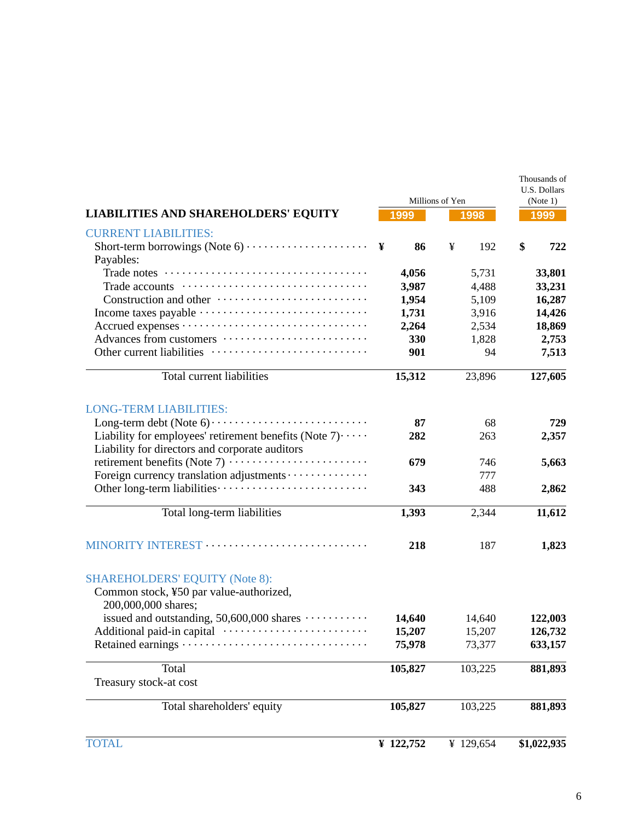|                                                                                                                                                           | Millions of Yen | Thousands of<br>U.S. Dollars<br>(Note 1) |             |  |
|-----------------------------------------------------------------------------------------------------------------------------------------------------------|-----------------|------------------------------------------|-------------|--|
| <b>LIABILITIES AND SHAREHOLDERS' EQUITY</b>                                                                                                               | 1999            | 1998                                     | 1999        |  |
| <b>CURRENT LIABILITIES:</b>                                                                                                                               |                 |                                          |             |  |
| Short-term borrowings (Note $6) \cdot \cdot \cdot \cdot \cdot \cdot \cdot \cdot \cdot \cdot \cdot \cdot \cdot \cdot \cdot \cdot \cdot \cdot$<br>Payables: | ¥<br>86         | ¥<br>192                                 | \$<br>722   |  |
|                                                                                                                                                           | 4,056           | 5,731                                    | 33,801      |  |
|                                                                                                                                                           | 3,987           | 4,488                                    | 33,231      |  |
|                                                                                                                                                           | 1,954           | 5,109                                    | 16,287      |  |
|                                                                                                                                                           | 1,731           | 3,916                                    | 14,426      |  |
|                                                                                                                                                           | 2,264           | 2,534                                    | 18,869      |  |
| Advances from customers                                                                                                                                   | 330             | 1,828                                    | 2,753       |  |
|                                                                                                                                                           | 901             | 94                                       | 7,513       |  |
| <b>Total current liabilities</b>                                                                                                                          | 15,312          | 23,896                                   | 127,605     |  |
| <b>LONG-TERM LIABILITIES:</b>                                                                                                                             |                 |                                          |             |  |
|                                                                                                                                                           | 87              | 68                                       | 729         |  |
| Liability for employees' retirement benefits (Note $7$ ) $\cdots$<br>Liability for directors and corporate auditors                                       | 282             | 263                                      | 2,357       |  |
|                                                                                                                                                           | 679             | 746                                      | 5,663       |  |
| Foreign currency translation adjustments                                                                                                                  |                 | 777                                      |             |  |
|                                                                                                                                                           | 343             | 488                                      | 2,862       |  |
| Total long-term liabilities                                                                                                                               | 1,393           | 2,344                                    | 11,612      |  |
| MINORITY INTEREST                                                                                                                                         | 218             | 187                                      | 1,823       |  |
| <b>SHAREHOLDERS' EQUITY (Note 8):</b><br>Common stock, ¥50 par value-authorized,<br>200,000,000 shares;                                                   |                 |                                          |             |  |
| issued and outstanding, 50,600,000 shares                                                                                                                 | 14,640          | 14,640                                   | 122,003     |  |
| Additional paid-in capital ······························                                                                                                 | 15,207          | 15,207                                   | 126,732     |  |
|                                                                                                                                                           | 75,978          | 73,377                                   | 633,157     |  |
| Total                                                                                                                                                     | 105,827         | 103,225                                  | 881,893     |  |
| Treasury stock-at cost                                                                                                                                    |                 |                                          |             |  |
| Total shareholders' equity                                                                                                                                | 105,827         | 103,225                                  | 881,893     |  |
| <b>TOTAL</b>                                                                                                                                              | ¥ 122,752       | ¥ 129,654                                | \$1,022,935 |  |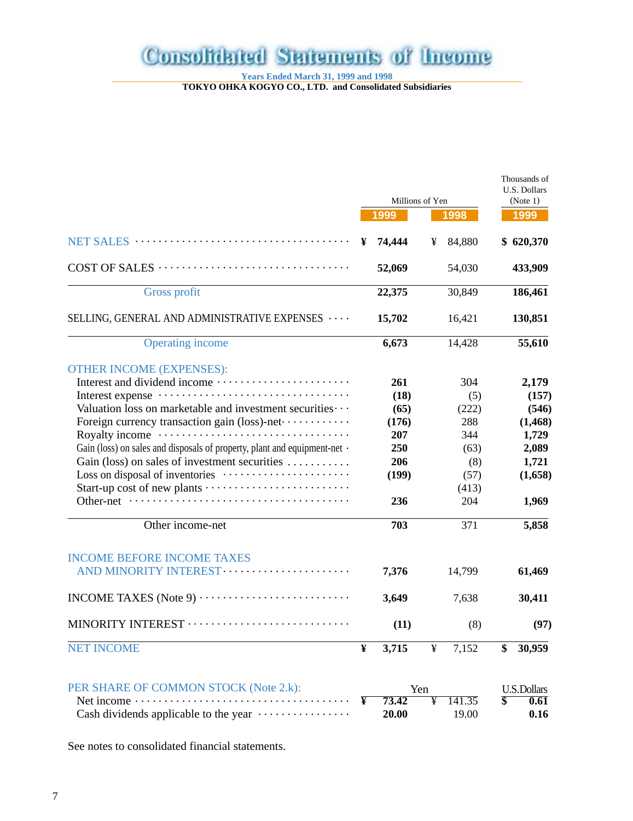# **Consolidated Statements of Income**

**Years Ended March 31, 1999 and 1998**

**TOKYO OHKA KOGYO CO., LTD. and Consolidated Subsidiaries**

|                                                                           |   | Millions of Yen |     |        | Thousands of<br>U.S. Dollars<br>(Note 1) |
|---------------------------------------------------------------------------|---|-----------------|-----|--------|------------------------------------------|
|                                                                           |   | 1999            |     | 1998   | 1999                                     |
|                                                                           | ¥ | 74,444          | ¥   | 84,880 | \$620,370                                |
|                                                                           |   | 52,069          |     | 54,030 | 433,909                                  |
| Gross profit                                                              |   | 22,375          |     | 30,849 | 186,461                                  |
| SELLING, GENERAL AND ADMINISTRATIVE EXPENSES                              |   | 15,702          |     | 16,421 | 130,851                                  |
| <b>Operating income</b>                                                   |   | 6,673           |     | 14,428 | 55,610                                   |
| <b>OTHER INCOME (EXPENSES):</b>                                           |   |                 |     |        |                                          |
|                                                                           |   | 261             |     | 304    | 2,179                                    |
|                                                                           |   | (18)            |     | (5)    | (157)                                    |
| Valuation loss on marketable and investment securities · · ·              |   | (65)            |     | (222)  | (546)                                    |
| Foreign currency transaction gain (loss)-net ·············                |   | (176)           |     | 288    | (1, 468)                                 |
|                                                                           |   | 207             |     | 344    | 1,729                                    |
| Gain (loss) on sales and disposals of property, plant and equipment-net · |   | 250             |     | (63)   | 2,089                                    |
| Gain (loss) on sales of investment securities                             |   | 206             |     | (8)    | 1,721                                    |
|                                                                           |   | (199)           |     | (57)   | (1,658)                                  |
|                                                                           |   |                 |     | (413)  |                                          |
|                                                                           |   | 236             |     | 204    | 1,969                                    |
| Other income-net                                                          |   | 703             |     | 371    | 5,858                                    |
| <b>INCOME BEFORE INCOME TAXES</b>                                         |   |                 |     |        |                                          |
|                                                                           |   | 7,376           |     | 14,799 | 61,469                                   |
|                                                                           |   | 3,649           |     | 7,638  | 30,411                                   |
| MINORITY INTEREST                                                         |   | (11)            |     | (8)    | (97)                                     |
| <b>NET INCOME</b>                                                         | ¥ | 3,715           | ¥   | 7,152  | 30,959                                   |
| PER SHARE OF COMMON STOCK (Note 2.k):                                     |   |                 | Yen |        | <b>U.S.Dollars</b>                       |
| .<br>Net income                                                           | ¥ | 73.42           | ¥   | 141.35 | 0.61                                     |
| Cash dividends applicable to the year                                     |   | 20.00           |     | 19.00  | 0.16                                     |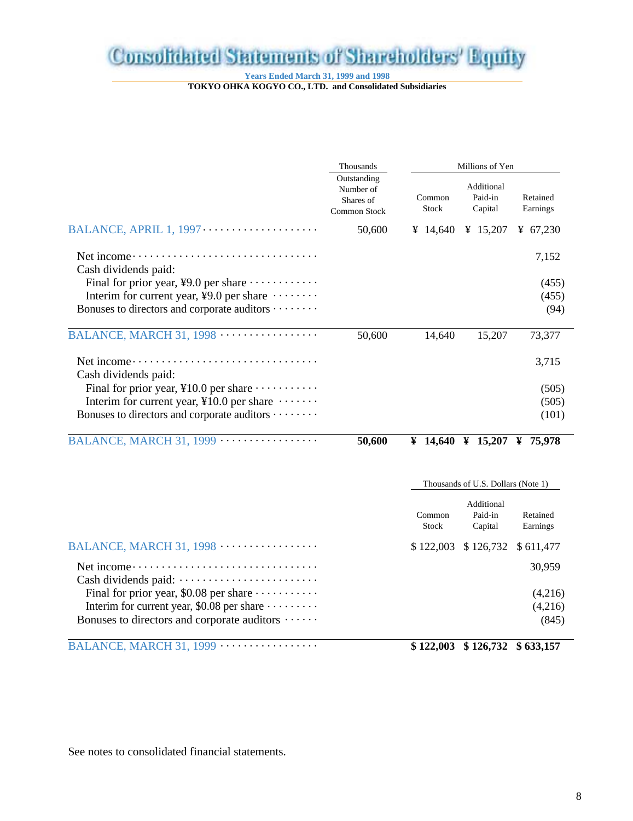# **Consolidated Statements of Shareholders' Equity**

**Years Ended March 31, 1999 and 1998**

**TOKYO OHKA KOGYO CO., LTD. and Consolidated Subsidiaries**

|                                                                                   | Thousands                                             | Millions of Yen |  |                                    |  |                      |
|-----------------------------------------------------------------------------------|-------------------------------------------------------|-----------------|--|------------------------------------|--|----------------------|
|                                                                                   | Outstanding<br>Number of<br>Shares of<br>Common Stock | Common<br>Stock |  | Additional<br>Paid-in<br>Capital   |  | Retained<br>Earnings |
|                                                                                   | 50,600                                                | ¥ 14,640        |  | ¥ 15,207                           |  | ¥ $67,230$           |
| Cash dividends paid:                                                              |                                                       |                 |  |                                    |  | 7,152                |
| Final for prior year, ¥9.0 per share $\dots \dots \dots$                          |                                                       |                 |  |                                    |  | (455)                |
| Interim for current year, ¥9.0 per share $\dots \dots$                            |                                                       |                 |  |                                    |  | (455)                |
| Bonuses to directors and corporate auditors $\cdots \cdots$                       |                                                       |                 |  |                                    |  | (94)                 |
| BALANCE, MARCH 31, 1998                                                           | 50,600                                                | 14,640          |  | 15,207                             |  | 73,377               |
|                                                                                   |                                                       |                 |  |                                    |  | 3,715                |
| Cash dividends paid:                                                              |                                                       |                 |  |                                    |  |                      |
| Final for prior year, $\text{\textsterling}10.0$ per share $\cdots \cdots \cdots$ |                                                       |                 |  |                                    |  | (505)                |
| Interim for current year, $\yen 10.0$ per share $\cdots \cdots$                   |                                                       |                 |  |                                    |  | (505)                |
| Bonuses to directors and corporate auditors $\cdots \cdots$                       |                                                       |                 |  |                                    |  | (101)                |
| BALANCE, MARCH 31, $1999$ $\cdots$                                                | 50,600                                                | ¥ 14,640        |  | ¥ 15,207 ¥ 75,978                  |  |                      |
|                                                                                   |                                                       |                 |  | Thousands of U.S. Dollars (Note 1) |  |                      |

|                                                            | Common<br>Stock | Additional<br>Paid-in<br>Capital | Retained<br>Earnings |
|------------------------------------------------------------|-----------------|----------------------------------|----------------------|
|                                                            |                 | $$122,003$ $$126,732$ $$611,477$ |                      |
|                                                            |                 |                                  | 30.959               |
| Final for prior year, \$0.08 per share $\cdots$            |                 |                                  | (4,216)              |
| Interim for current year, \$0.08 per share $\cdots \cdots$ |                 |                                  | (4,216)              |
| Bonuses to directors and corporate auditors $\cdots$       |                 |                                  | (845)                |
|                                                            |                 |                                  |                      |

BALANCE, MARCH 31, 1999 ................. **\$ 122,003 \$ 126,732 \$ 633,157**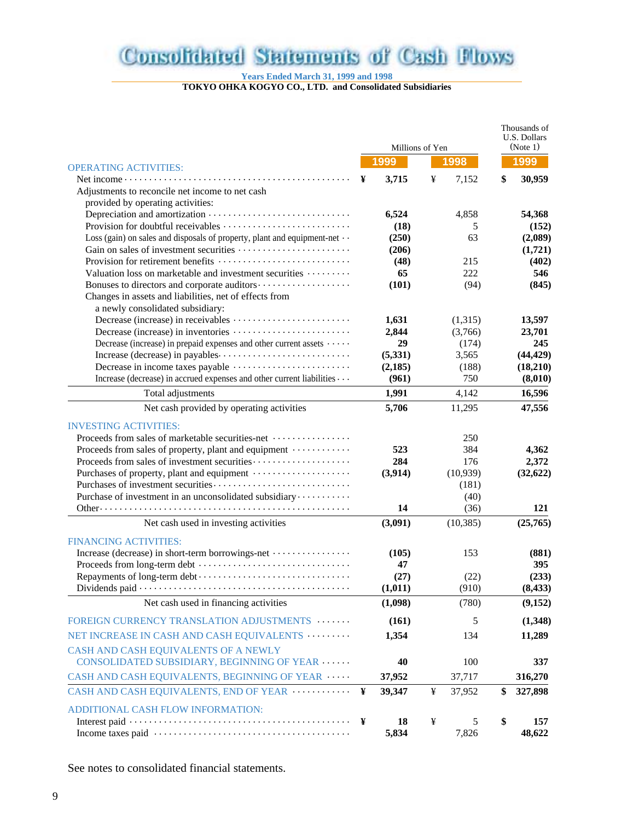# **Consolidated Statements of Cash Flows**

**Years Ended March 31, 1999 and 1998**

**TOKYO OHKA KOGYO CO., LTD. and Consolidated Subsidiaries**

|                                                                                  | Millions of Yen |          |   |           | Thousands of<br>U.S. Dollars<br>(Note 1) |           |  |
|----------------------------------------------------------------------------------|-----------------|----------|---|-----------|------------------------------------------|-----------|--|
| <b>OPERATING ACTIVITIES:</b>                                                     |                 | 1999     |   | 1998      |                                          | 1999      |  |
|                                                                                  | ¥               | 3,715    | ¥ | 7,152     | \$                                       | 30,959    |  |
| Adjustments to reconcile net income to net cash                                  |                 |          |   |           |                                          |           |  |
| provided by operating activities:                                                |                 |          |   |           |                                          |           |  |
|                                                                                  |                 | 6,524    |   | 4,858     |                                          | 54,368    |  |
|                                                                                  |                 | (18)     |   | 5         |                                          | (152)     |  |
| Loss (gain) on sales and disposals of property, plant and equipment-net $\cdots$ |                 | (250)    |   | 63        |                                          | (2,089)   |  |
|                                                                                  |                 | (206)    |   |           |                                          | (1,721)   |  |
| Provision for retirement benefits                                                |                 | (48)     |   | 215       |                                          | (402)     |  |
| Valuation loss on marketable and investment securities                           |                 | 65       |   | 222       |                                          | 546       |  |
|                                                                                  |                 | (101)    |   | (94)      |                                          | (845)     |  |
| Changes in assets and liabilities, net of effects from                           |                 |          |   |           |                                          |           |  |
| a newly consolidated subsidiary:                                                 |                 |          |   |           |                                          |           |  |
|                                                                                  |                 | 1,631    |   | (1,315)   |                                          | 13,597    |  |
|                                                                                  |                 | 2,844    |   | (3,766)   |                                          | 23,701    |  |
| Decrease (increase) in prepaid expenses and other current assets                 |                 | 29       |   | (174)     |                                          | 245       |  |
|                                                                                  |                 | (5, 331) |   | 3,565     |                                          | (44, 429) |  |
|                                                                                  |                 | (2,185)  |   | (188)     |                                          | (18,210)  |  |
| Increase (decrease) in accrued expenses and other current liabilities $\cdots$   |                 | (961)    |   | 750       |                                          | (8,010)   |  |
| Total adjustments                                                                |                 | 1,991    |   | 4,142     |                                          | 16,596    |  |
| Net cash provided by operating activities                                        |                 | 5,706    |   | 11,295    |                                          | 47,556    |  |
| <b>INVESTING ACTIVITIES:</b>                                                     |                 |          |   |           |                                          |           |  |
| Proceeds from sales of marketable securities-net                                 |                 |          |   | 250       |                                          |           |  |
| Proceeds from sales of property, plant and equipment                             |                 | 523      |   | 384       |                                          | 4,362     |  |
|                                                                                  |                 | 284      |   | 176       |                                          | 2,372     |  |
|                                                                                  |                 | (3,914)  |   | (10, 939) |                                          | (32, 622) |  |
|                                                                                  |                 |          |   | (181)     |                                          |           |  |
| Purchase of investment in an unconsolidated subsidiary                           |                 |          |   | (40)      |                                          |           |  |
|                                                                                  |                 | 14       |   | (36)      |                                          | 121       |  |
| Net cash used in investing activities                                            |                 | (3,091)  |   | (10, 385) |                                          | (25,765)  |  |
| <b>FINANCING ACTIVITIES:</b>                                                     |                 |          |   |           |                                          |           |  |
| Increase (decrease) in short-term borrowings-net                                 |                 | (105)    |   | 153       |                                          | (881)     |  |
|                                                                                  |                 | 47       |   |           |                                          | 395       |  |
|                                                                                  |                 | (27)     |   | (22)      |                                          | (233)     |  |
|                                                                                  |                 | (1, 011) |   | (910)     |                                          | (8, 433)  |  |
| Net cash used in financing activities                                            |                 | (1,098)  |   | (780)     |                                          | (9,152)   |  |
| FOREIGN CURRENCY TRANSLATION ADJUSTMENTS                                         |                 | (161)    |   | 5         |                                          | (1,348)   |  |
| NET INCREASE IN CASH AND CASH EQUIVALENTS                                        |                 | 1,354    |   | 134       |                                          | 11,289    |  |
| CASH AND CASH EQUIVALENTS OF A NEWLY                                             |                 |          |   |           |                                          |           |  |
| CONSOLIDATED SUBSIDIARY, BEGINNING OF YEAR                                       |                 | 40       |   | 100       |                                          | 337       |  |
| CASH AND CASH EQUIVALENTS, BEGINNING OF YEAR                                     |                 | 37,952   |   | 37,717    |                                          | 316,270   |  |
| CASH AND CASH EQUIVALENTS, END OF YEAR                                           | ¥               | 39,347   | ¥ | 37,952    | \$                                       | 327,898   |  |
| ADDITIONAL CASH FLOW INFORMATION:                                                |                 |          |   |           |                                          |           |  |
|                                                                                  | ¥               | 18       | ¥ | 5         | \$                                       | 157       |  |
|                                                                                  |                 | 5,834    |   | 7,826     |                                          | 48,622    |  |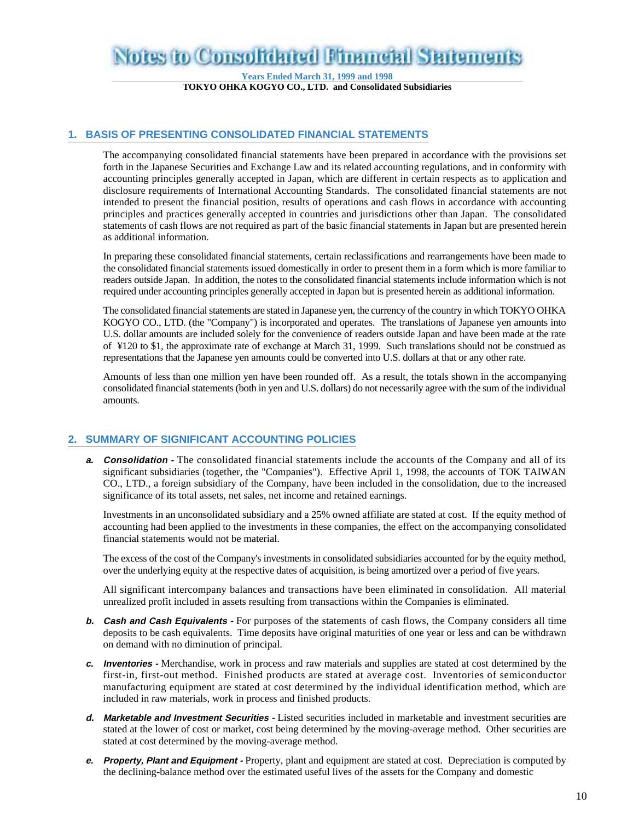# Notes to Consolidated Financial Statemen

**Years Ended March 31, 1999 and 1998 TOKYO OHKA KOGYO CO., LTD. and Consolidated Subsidiaries**

#### **1. BASIS OF PRESENTING CONSOLIDATED FINANCIAL STATEMENTS**

The accompanying consolidated financial statements have been prepared in accordance with the provisions set forth in the Japanese Securities and Exchange Law and its related accounting regulations, and in conformity with accounting principles generally accepted in Japan, which are different in certain respects as to application and disclosure requirements of International Accounting Standards. The consolidated financial statements are not intended to present the financial position, results of operations and cash flows in accordance with accounting principles and practices generally accepted in countries and jurisdictions other than Japan. The consolidated statements of cash flows are not required as part of the basic financial statements in Japan but are presented herein as additional information.

In preparing these consolidated financial statements, certain reclassifications and rearrangements have been made to the consolidated financial statements issued domestically in order to present them in a form which is more familiar to readers outside Japan. In addition, the notes to the consolidated financial statements include information which is not required under accounting principles generally accepted in Japan but is presented herein as additional information.

The consolidated financial statements are stated in Japanese yen, the currency of the country in which TOKYO OHKA KOGYO CO., LTD. (the "Company") is incorporated and operates. The translations of Japanese yen amounts into U.S. dollar amounts are included solely for the convenience of readers outside Japan and have been made at the rate of ¥120 to \$1, the approximate rate of exchange at March 31, 1999. Such translations should not be construed as representations that the Japanese yen amounts could be converted into U.S. dollars at that or any other rate.

Amounts of less than one million yen have been rounded off. As a result, the totals shown in the accompanying consolidated financial statements (both in yen and U.S. dollars) do not necessarily agree with the sum of the individual amounts.

### **2. SUMMARY OF SIGNIFICANT ACCOUNTING POLICIES**

**a. Consolidation** - The consolidated financial statements include the accounts of the Company and all of its significant subsidiaries (together, the "Companies"). Effective April 1, 1998, the accounts of TOK TAIWAN CO., LTD., a foreign subsidiary of the Company, have been included in the consolidation, due to the increased significance of its total assets, net sales, net income and retained earnings.

Investments in an unconsolidated subsidiary and a 25% owned affiliate are stated at cost. If the equity method of accounting had been applied to the investments in these companies, the effect on the accompanying consolidated financial statements would not be material.

The excess of the cost of the Company's investments in consolidated subsidiaries accounted for by the equity method, over the underlying equity at the respective dates of acquisition, is being amortized over a period of five years.

All significant intercompany balances and transactions have been eliminated in consolidation. All material unrealized profit included in assets resulting from transactions within the Companies is eliminated.

- **b. Cash and Cash Equivalents -** For purposes of the statements of cash flows, the Company considers all time deposits to be cash equivalents. Time deposits have original maturities of one year or less and can be withdrawn on demand with no diminution of principal.
- **c. Inventories** Merchandise, work in process and raw materials and supplies are stated at cost determined by the first-in, first-out method. Finished products are stated at average cost. Inventories of semiconductor manufacturing equipment are stated at cost determined by the individual identification method, which are included in raw materials, work in process and finished products.
- **d. Marketable and Investment Securities** Listed securities included in marketable and investment securities are stated at the lower of cost or market, cost being determined by the moving-average method. Other securities are stated at cost determined by the moving-average method.
- **e. Property, Plant and Equipment** Property, plant and equipment are stated at cost. Depreciation is computed by the declining-balance method over the estimated useful lives of the assets for the Company and domestic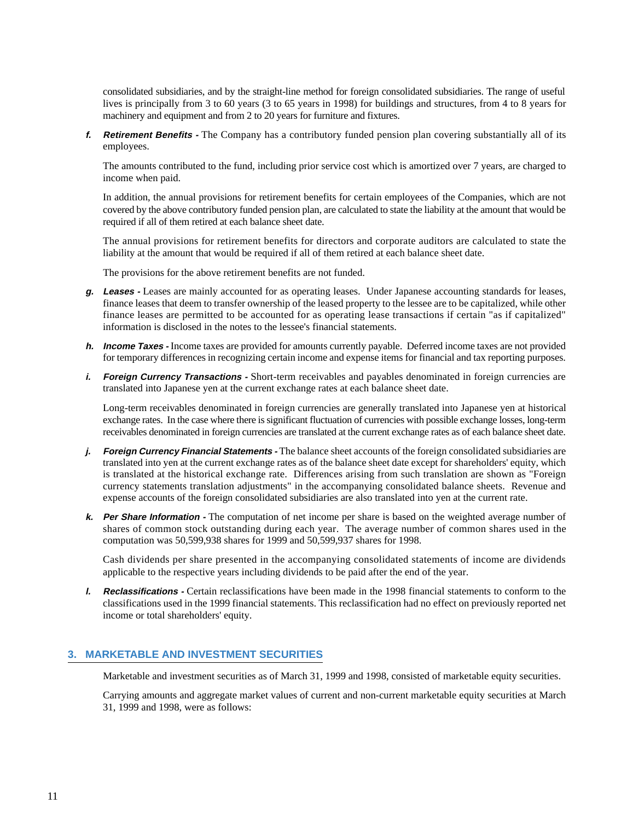consolidated subsidiaries, and by the straight-line method for foreign consolidated subsidiaries. The range of useful lives is principally from 3 to 60 years (3 to 65 years in 1998) for buildings and structures, from 4 to 8 years for machinery and equipment and from 2 to 20 years for furniture and fixtures.

**f. Retirement Benefits -** The Company has a contributory funded pension plan covering substantially all of its employees.

The amounts contributed to the fund, including prior service cost which is amortized over 7 years, are charged to income when paid.

In addition, the annual provisions for retirement benefits for certain employees of the Companies, which are not covered by the above contributory funded pension plan, are calculated to state the liability at the amount that would be required if all of them retired at each balance sheet date.

The annual provisions for retirement benefits for directors and corporate auditors are calculated to state the liability at the amount that would be required if all of them retired at each balance sheet date.

The provisions for the above retirement benefits are not funded.

- **g. Leases** Leases are mainly accounted for as operating leases. Under Japanese accounting standards for leases, finance leases that deem to transfer ownership of the leased property to the lessee are to be capitalized, while other finance leases are permitted to be accounted for as operating lease transactions if certain "as if capitalized" information is disclosed in the notes to the lessee's financial statements.
- **h. Income Taxes** Income taxes are provided for amounts currently payable. Deferred income taxes are not provided for temporary differences in recognizing certain income and expense items for financial and tax reporting purposes.
- *i.* **Foreign Currency Transactions -** Short-term receivables and payables denominated in foreign currencies are translated into Japanese yen at the current exchange rates at each balance sheet date.

Long-term receivables denominated in foreign currencies are generally translated into Japanese yen at historical exchange rates. In the case where there is significant fluctuation of currencies with possible exchange losses, long-term receivables denominated in foreign currencies are translated at the current exchange rates as of each balance sheet date.

- *j.* **Foreign Currency Financial Statements** The balance sheet accounts of the foreign consolidated subsidiaries are translated into yen at the current exchange rates as of the balance sheet date except for shareholders' equity, which is translated at the historical exchange rate. Differences arising from such translation are shown as "Foreign currency statements translation adjustments" in the accompanying consolidated balance sheets. Revenue and expense accounts of the foreign consolidated subsidiaries are also translated into yen at the current rate.
- **k. Per Share Information** The computation of net income per share is based on the weighted average number of shares of common stock outstanding during each year. The average number of common shares used in the computation was 50,599,938 shares for 1999 and 50,599,937 shares for 1998.

Cash dividends per share presented in the accompanying consolidated statements of income are dividends applicable to the respective years including dividends to be paid after the end of the year.

**l. Reclassifications -** Certain reclassifications have been made in the 1998 financial statements to conform to the classifications used in the 1999 financial statements. This reclassification had no effect on previously reported net income or total shareholders' equity.

### **3. MARKETABLE AND INVESTMENT SECURITIES**

Marketable and investment securities as of March 31, 1999 and 1998, consisted of marketable equity securities.

Carrying amounts and aggregate market values of current and non-current marketable equity securities at March 31, 1999 and 1998, were as follows: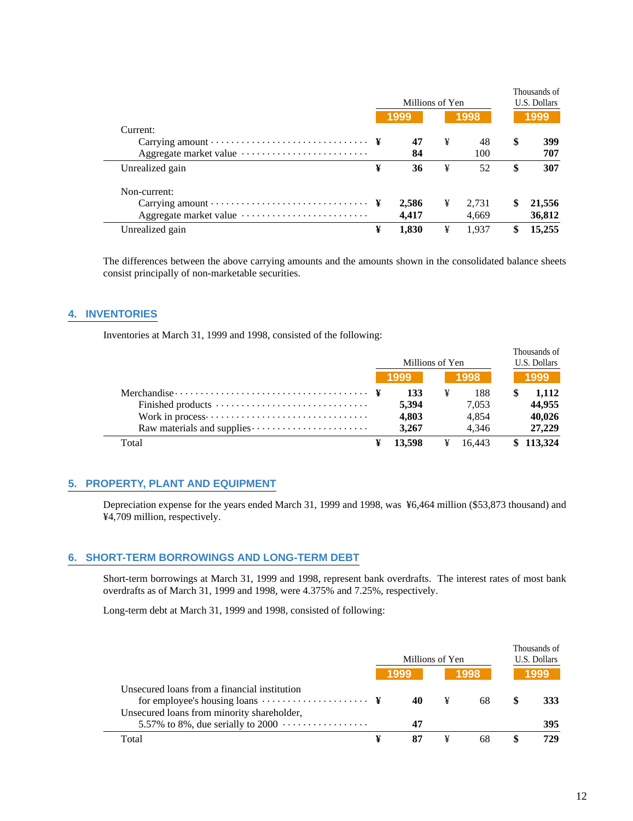|                        |   | Millions of Yen |   |       |    | Thousands of<br>U.S. Dollars |  |  |
|------------------------|---|-----------------|---|-------|----|------------------------------|--|--|
|                        |   | 1999            |   | 1998  |    | 1999                         |  |  |
| Current:               |   |                 |   |       |    |                              |  |  |
|                        |   | 47              | ¥ | 48    | \$ | 399                          |  |  |
| Aggregate market value |   | 84              |   | 100   |    | 707                          |  |  |
| Unrealized gain        | ¥ | 36              | ¥ | 52    | \$ | 307                          |  |  |
| Non-current:           |   |                 |   |       |    |                              |  |  |
|                        |   | 2,586           | ¥ | 2.731 | S  | 21,556                       |  |  |
| Aggregate market value |   | 4.417           |   | 4.669 |    | 36,812                       |  |  |
| Unrealized gain        | ¥ | 1.830           | ¥ | 1.937 |    | 15,255                       |  |  |

The differences between the above carrying amounts and the amounts shown in the consolidated balance sheets consist principally of non-marketable securities.

# **4. INVENTORIES**

 $\overline{\phantom{0}}$ 

Inventories at March 31, 1999 and 1998, consisted of the following:

|                                                                                     | Millions of Yen |        |   |        | Thousands of<br>U.S. Dollars |           |  |
|-------------------------------------------------------------------------------------|-----------------|--------|---|--------|------------------------------|-----------|--|
|                                                                                     |                 | 1999   |   | 1998   |                              | 1999      |  |
| Merchandise $\cdots \cdots \cdots \cdots \cdots \cdots \cdots \cdots \cdots \cdots$ |                 | 133    | ¥ | 188    |                              | 1,112     |  |
|                                                                                     |                 | 5.394  |   | 7.053  |                              | 44,955    |  |
|                                                                                     |                 | 4,803  |   | 4.854  |                              | 40,026    |  |
|                                                                                     |                 | 3.267  |   | 4.346  |                              | 27,229    |  |
| Total                                                                               |                 | 13.598 | ¥ | 16.443 |                              | \$113,324 |  |

#### **5. PROPERTY, PLANT AND EQUIPMENT**

Depreciation expense for the years ended March 31, 1999 and 1998, was ¥6,464 million (\$53,873 thousand) and ¥4,709 million, respectively.

### **6. SHORT-TERM BORROWINGS AND LONG-TERM DEBT**

Short-term borrowings at March 31, 1999 and 1998, represent bank overdrafts. The interest rates of most bank overdrafts as of March 31, 1999 and 1998, were 4.375% and 7.25%, respectively.

Long-term debt at March 31, 1999 and 1998, consisted of following:

|                                                                                                                      | Millions of Yen |      |   |      | Thousands of<br>U.S. Dollars |            |  |
|----------------------------------------------------------------------------------------------------------------------|-----------------|------|---|------|------------------------------|------------|--|
|                                                                                                                      |                 | 1999 |   | 1998 |                              | 1999       |  |
| Unsecured loans from a financial institution<br>for employee's housing loans $\dots \dots \dots \dots \dots \dots$ ¥ |                 | 40   | ¥ | 68   |                              | <b>333</b> |  |
| Unsecured loans from minority shareholder,<br>5.57% to 8%, due serially to 2000 $\dots \dots \dots \dots \dots$      |                 | 47   |   |      |                              | 395        |  |
| Total                                                                                                                | ¥               | 87   |   | 68   |                              | 729        |  |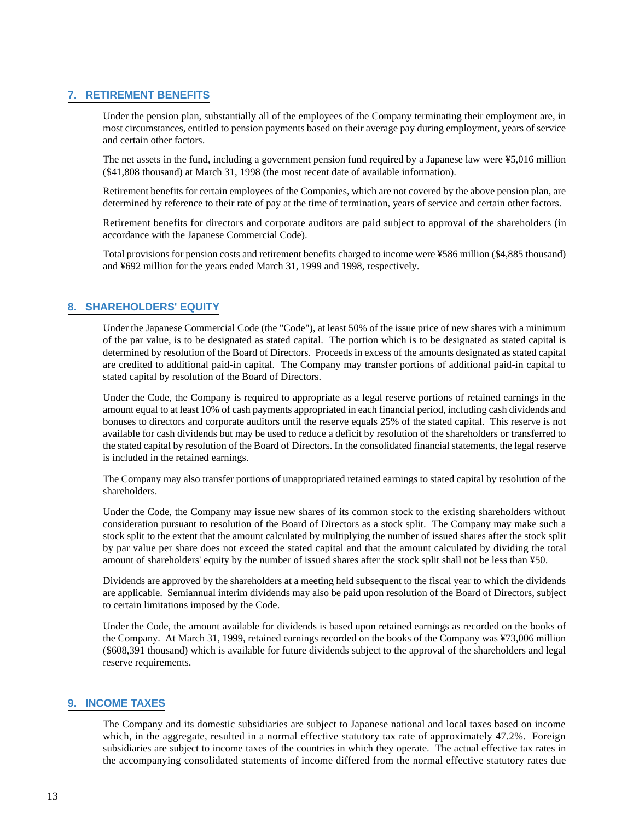# **7. RETIREMENT BENEFITS**

Under the pension plan, substantially all of the employees of the Company terminating their employment are, in most circumstances, entitled to pension payments based on their average pay during employment, years of service and certain other factors.

The net assets in the fund, including a government pension fund required by a Japanese law were ¥5,016 million (\$41,808 thousand) at March 31, 1998 (the most recent date of available information).

Retirement benefits for certain employees of the Companies, which are not covered by the above pension plan, are determined by reference to their rate of pay at the time of termination, years of service and certain other factors.

Retirement benefits for directors and corporate auditors are paid subject to approval of the shareholders (in accordance with the Japanese Commercial Code).

Total provisions for pension costs and retirement benefits charged to income were ¥586 million (\$4,885 thousand) and ¥692 million for the years ended March 31, 1999 and 1998, respectively.

# **8. SHAREHOLDERS' EQUITY**

Under the Japanese Commercial Code (the "Code"), at least 50% of the issue price of new shares with a minimum of the par value, is to be designated as stated capital. The portion which is to be designated as stated capital is determined by resolution of the Board of Directors. Proceeds in excess of the amounts designated as stated capital are credited to additional paid-in capital. The Company may transfer portions of additional paid-in capital to stated capital by resolution of the Board of Directors.

Under the Code, the Company is required to appropriate as a legal reserve portions of retained earnings in the amount equal to at least 10% of cash payments appropriated in each financial period, including cash dividends and bonuses to directors and corporate auditors until the reserve equals 25% of the stated capital. This reserve is not available for cash dividends but may be used to reduce a deficit by resolution of the shareholders or transferred to the stated capital by resolution of the Board of Directors. In the consolidated financial statements, the legal reserve is included in the retained earnings.

The Company may also transfer portions of unappropriated retained earnings to stated capital by resolution of the shareholders.

Under the Code, the Company may issue new shares of its common stock to the existing shareholders without consideration pursuant to resolution of the Board of Directors as a stock split. The Company may make such a stock split to the extent that the amount calculated by multiplying the number of issued shares after the stock split by par value per share does not exceed the stated capital and that the amount calculated by dividing the total amount of shareholders' equity by the number of issued shares after the stock split shall not be less than ¥50.

Dividends are approved by the shareholders at a meeting held subsequent to the fiscal year to which the dividends are applicable. Semiannual interim dividends may also be paid upon resolution of the Board of Directors, subject to certain limitations imposed by the Code.

Under the Code, the amount available for dividends is based upon retained earnings as recorded on the books of the Company. At March 31, 1999, retained earnings recorded on the books of the Company was ¥73,006 million (\$608,391 thousand) which is available for future dividends subject to the approval of the shareholders and legal reserve requirements.

### **9. INCOME TAXES**

The Company and its domestic subsidiaries are subject to Japanese national and local taxes based on income which, in the aggregate, resulted in a normal effective statutory tax rate of approximately 47.2%. Foreign subsidiaries are subject to income taxes of the countries in which they operate. The actual effective tax rates in the accompanying consolidated statements of income differed from the normal effective statutory rates due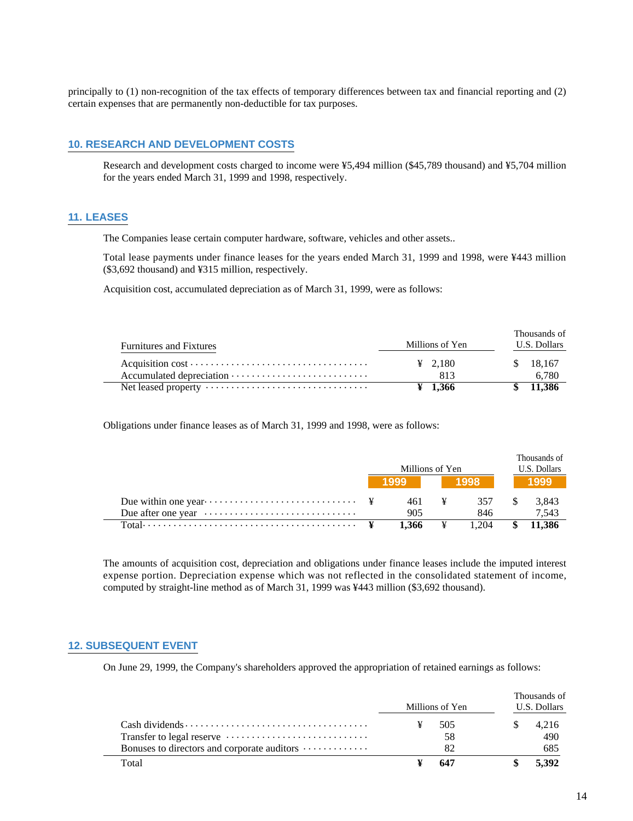principally to (1) non-recognition of the tax effects of temporary differences between tax and financial reporting and (2) certain expenses that are permanently non-deductible for tax purposes.

# **10. RESEARCH AND DEVELOPMENT COSTS**

Research and development costs charged to income were ¥5,494 million (\$45,789 thousand) and ¥5,704 million for the years ended March 31, 1999 and 1998, respectively.

### **11. LEASES**

 $\overline{a}$ 

The Companies lease certain computer hardware, software, vehicles and other assets..

Total lease payments under finance leases for the years ended March 31, 1999 and 1998, were ¥443 million (\$3,692 thousand) and ¥315 million, respectively.

Acquisition cost, accumulated depreciation as of March 31, 1999, were as follows:

| <b>Furnitures and Fixtures</b> | Millions of Yen     | Thousands of<br>U.S. Dollars |  |  |  |
|--------------------------------|---------------------|------------------------------|--|--|--|
|                                | $\frac{1}{2}$ 2.180 | \$ 18,167                    |  |  |  |
|                                | 813                 | 6.780                        |  |  |  |
|                                | $\frac{1}{2}$ 1.366 | 11.386                       |  |  |  |

Obligations under finance leases as of March 31, 1999 and 1998, were as follows:

|                                                                            | Millions of Yen |       | Thousands of<br>U.S. Dollars |
|----------------------------------------------------------------------------|-----------------|-------|------------------------------|
|                                                                            | 1999 l          | 1998  | 1999                         |
|                                                                            | 461 ¥           | 357   | 3,843                        |
| Due after one year $\dots \dots \dots \dots \dots \dots \dots \dots \dots$ | 905             | 846   | 7.543                        |
|                                                                            | 1.366           | 1.204 | 11.386                       |

The amounts of acquisition cost, depreciation and obligations under finance leases include the imputed interest expense portion. Depreciation expense which was not reflected in the consolidated statement of income, computed by straight-line method as of March 31, 1999 was ¥443 million (\$3,692 thousand).

#### **12. SUBSEQUENT EVENT**

On June 29, 1999, the Company's shareholders approved the appropriation of retained earnings as follows:

|                                                                 | Millions of Yen | Thousands of<br>U.S. Dollars |
|-----------------------------------------------------------------|-----------------|------------------------------|
|                                                                 | 505             | 4.216                        |
|                                                                 | 58              | 490                          |
| Bonuses to directors and corporate auditors $\dots \dots \dots$ | 82              | 685                          |
| Total                                                           | 647             | 5.392                        |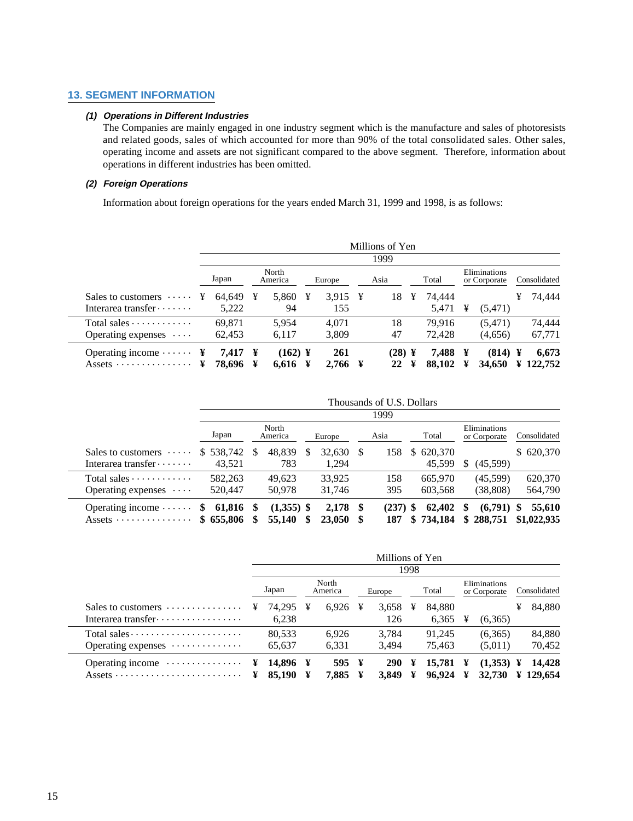# **13. SEGMENT INFORMATION**

# **(1) Operations in Different Industries**

The Companies are mainly engaged in one industry segment which is the manufacture and sales of photoresists and related goods, sales of which accounted for more than 90% of the total consolidated sales. Other sales, operating income and assets are not significant compared to the above segment. Therefore, information about operations in different industries has been omitted.

# **(2) Foreign Operations**

Information about foreign operations for the years ended March 31, 1999 and 1998, is as follows:

|                                                                                   | Millions of Yen<br>1999 |                  |        |                    |   |                |   |              |   |                  |        |                              |        |                  |  |
|-----------------------------------------------------------------------------------|-------------------------|------------------|--------|--------------------|---|----------------|---|--------------|---|------------------|--------|------------------------------|--------|------------------|--|
|                                                                                   |                         | Japan            |        | North<br>America   |   | Europe         |   | Asia         |   | Total            |        | Eliminations<br>or Corporate |        | Consolidated     |  |
| Sales to customers $\dots$<br>Interarea transfer $\cdots$                         | ¥                       | 64.649<br>5,222  | ¥      | 5,860<br>94        | ¥ | 3.915<br>155   | ¥ | 18           | ¥ | 74.444<br>5,471  | ¥      | (5, 471)                     | ¥      | 74.444           |  |
| Total sales $\dots \dots \dots$<br>Operating expenses $\cdots$                    |                         | 69.871<br>62,453 |        | 5.954<br>6,117     |   | 4.071<br>3,809 |   | 18<br>47     |   | 79.916<br>72,428 |        | (5,471)<br>(4,656)           |        | 74.444<br>67,771 |  |
| Operating income $\cdots$ $\cdots$ $\ddagger$<br>Assets $\dots \dots \dots \dots$ | ¥                       | 7,417<br>78,696  | ¥<br>¥ | $(162)$ ¥<br>6,616 | ¥ | 261<br>2,766   | ¥ | (28) ¥<br>22 | ¥ | 7.488<br>88,102  | ¥<br>¥ | (814)<br>34,650              | ¥<br>¥ | 6,673<br>122,752 |  |

|                                                               | Thousands of U.S. Dollars |          |                        |  |                      |      |                   |    |                     |    |                              |                            |  |  |  |
|---------------------------------------------------------------|---------------------------|----------|------------------------|--|----------------------|------|-------------------|----|---------------------|----|------------------------------|----------------------------|--|--|--|
|                                                               |                           | 1999     |                        |  |                      |      |                   |    |                     |    |                              |                            |  |  |  |
|                                                               | Japan                     |          | North<br>America       |  | Europe               |      | Asia              |    | Total               |    | Eliminations<br>or Corporate | Consolidated               |  |  |  |
| Sales to customers $\dots$                                    | \$538,742                 | <b>S</b> | 48.839                 |  | 32,630               | - \$ | 158               | S. | 620,370             |    |                              | \$620,370                  |  |  |  |
| Interarea transfer $\cdots$                                   | 43.521                    |          | 783                    |  | 1.294                |      |                   |    | 45,599              | S  | (45,599)                     |                            |  |  |  |
| Total sales $\dots \dots \dots$                               | 582,263                   |          | 49.623                 |  | 33.925               |      | 158               |    | 665,970             |    | (45,599)                     | 620,370                    |  |  |  |
| Operating expenses $\cdots$                                   | 520,447                   |          | 50.978                 |  | 31,746               |      | 395               |    | 603,568             |    | (38, 808)                    | 564,790                    |  |  |  |
| Operating income $\cdots$<br>Assets $\dots \dots \dots \dots$ | 61,816<br>S.<br>\$655,806 | -SS      | $(1,355)$ \$<br>55,140 |  | $2,178$ \$<br>23,050 |      | $(237)$ \$<br>187 |    | 62,402<br>\$734,184 | \$ | (6,791)<br>\$288,751         | 55,610<br>S<br>\$1,022,935 |  |  |  |

|                                              | Millions of Yen |                  |        |                  |   |                     |        |                  |                              |                                            |              |                               |  |  |
|----------------------------------------------|-----------------|------------------|--------|------------------|---|---------------------|--------|------------------|------------------------------|--------------------------------------------|--------------|-------------------------------|--|--|
|                                              | 1998            |                  |        |                  |   |                     |        |                  |                              |                                            |              |                               |  |  |
|                                              |                 | Japan            |        | North<br>America |   | Europe              |        | Total            | Eliminations<br>or Corporate |                                            | Consolidated |                               |  |  |
| Sales to customers $\dots \dots \dots \dots$ | ¥               | 74,295<br>6,238  | ¥      | 6.926            | ¥ | 3,658<br>126        | ¥      | 84,880<br>6,365  | ¥                            | (6,365)                                    | ¥            | 84,880                        |  |  |
| Operating expenses $\dots\dots\dots\dots$    |                 | 80.533<br>65,637 |        | 6.926<br>6,331   |   | 3.784<br>3.494      |        | 91.245<br>75.463 |                              | (6,365)<br>(5,011)                         |              | 84,880<br>70,452              |  |  |
| Operating income $\dots\dots\dots\dots\dots$ | ¥<br>¥          | 14.896<br>85,190 | ¥<br>¥ | 595 ¥<br>7.885   | ¥ | <b>290</b><br>3.849 | ¥<br>¥ | 15.781<br>96,924 | ¥<br>¥                       | $(1,353) \; \; \text{\&}$<br><b>32.730</b> |              | 14.428<br>$\frac{129.654}{ }$ |  |  |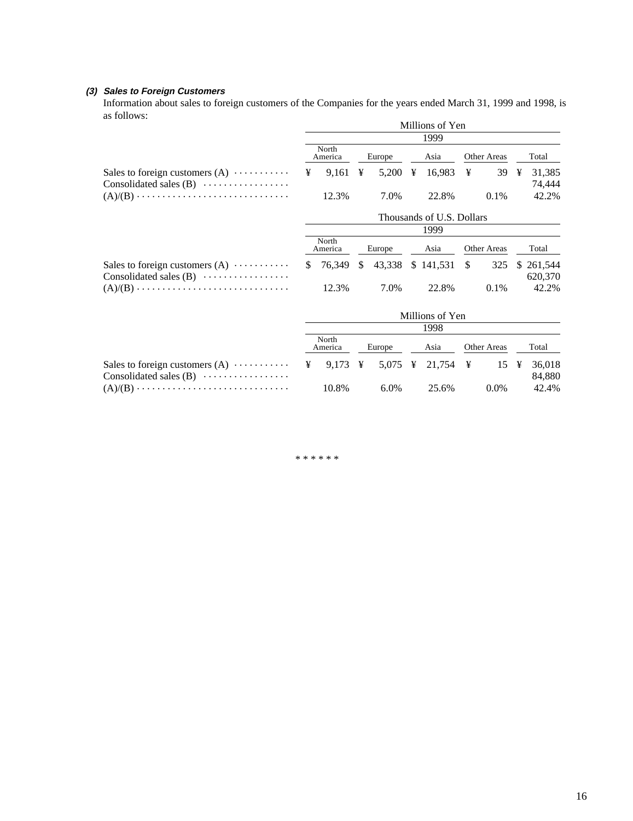# **(3) Sales to Foreign Customers**

Information about sales to foreign customers of the Companies for the years ended March 31, 1999 and 1998, is as follows:

|                                                                                   | Millions of Yen           |                  |      |        |   |                      |               |         |   |                       |  |  |  |  |
|-----------------------------------------------------------------------------------|---------------------------|------------------|------|--------|---|----------------------|---------------|---------|---|-----------------------|--|--|--|--|
|                                                                                   | 1999                      |                  |      |        |   |                      |               |         |   |                       |  |  |  |  |
|                                                                                   |                           | North<br>America |      | Europe |   | Asia                 | Other Areas   |         |   | Total                 |  |  |  |  |
| Sales to foreign customers $(A) \cdots \cdots \cdots$<br>Consolidated sales $(B)$ | ¥                         | 9.161            | ¥    | 5,200  | ¥ | 16,983 $\frac{1}{2}$ |               | 39      | ¥ | 31,385<br>74,444      |  |  |  |  |
|                                                                                   |                           | 12.3%            |      | 7.0%   |   | 22.8%                |               | 0.1%    |   | 42.2%                 |  |  |  |  |
|                                                                                   | Thousands of U.S. Dollars |                  |      |        |   |                      |               |         |   |                       |  |  |  |  |
|                                                                                   |                           |                  | 1999 |        |   |                      |               |         |   |                       |  |  |  |  |
|                                                                                   |                           | North<br>America |      | Europe |   | Asia                 | Other Areas   |         |   | Total                 |  |  |  |  |
| Sales to foreign customers $(A) \cdots \cdots$<br>Consolidated sales $(B)$        | S.                        | 76.349           | S.   | 43,338 |   | \$141,531            | <sup>\$</sup> | 325     |   | \$ 261,544<br>620,370 |  |  |  |  |
|                                                                                   |                           | 12.3%            |      | 7.0%   |   | 22.8%                |               | $0.1\%$ |   | 42.2%                 |  |  |  |  |
|                                                                                   |                           |                  |      |        |   |                      |               |         |   |                       |  |  |  |  |

|                          |  | Millions of Yen  |  |         |  |       |  |                    |  |                 |  |  |  |  |
|--------------------------|--|------------------|--|---------|--|-------|--|--------------------|--|-----------------|--|--|--|--|
|                          |  | 1998             |  |         |  |       |  |                    |  |                 |  |  |  |  |
|                          |  | North<br>America |  | Europe  |  | Asia  |  | <b>Other Areas</b> |  | Total           |  |  |  |  |
|                          |  |                  |  |         |  |       |  |                    |  |                 |  |  |  |  |
| Consolidated sales $(B)$ |  | 10.8%            |  | $6.0\%$ |  | 25.6% |  | $0.0\%$            |  | 84,880<br>42.4% |  |  |  |  |

\* \* \* \* \* \*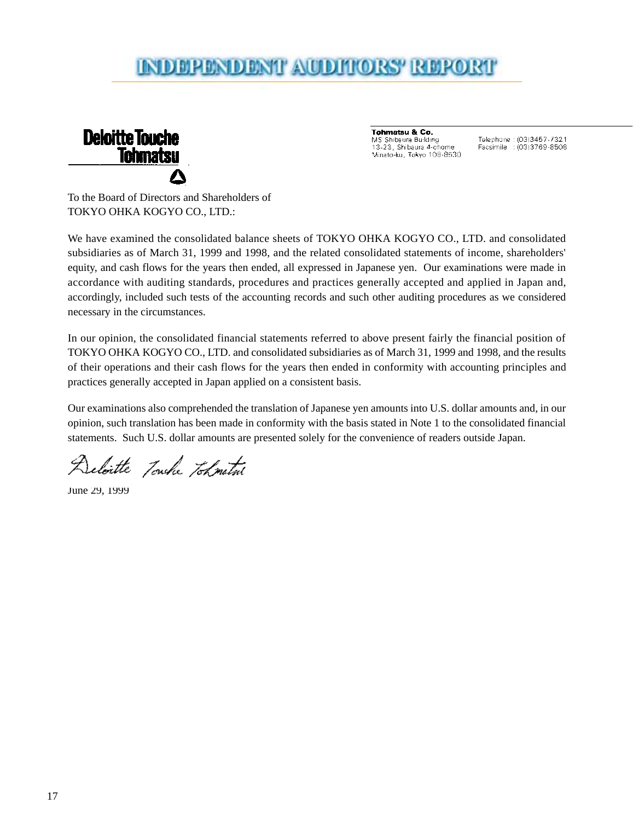# INDERENDENT AUDITORS' REPORT



Tohmatsu & Co. MS Shibaura Building 13-23, Shibaura 4-chome Minato-ku, Tokyo 108-8530

Telephone: (03)3457-7321 Facsimile : (03)3769-8508

To the Board of Directors and Shareholders of TOKYO OHKA KOGYO CO., LTD.:

We have examined the consolidated balance sheets of TOKYO OHKA KOGYO CO., LTD. and consolidated subsidiaries as of March 31, 1999 and 1998, and the related consolidated statements of income, shareholders' equity, and cash flows for the years then ended, all expressed in Japanese yen. Our examinations were made in accordance with auditing standards, procedures and practices generally accepted and applied in Japan and, accordingly, included such tests of the accounting records and such other auditing procedures as we considered necessary in the circumstances.

In our opinion, the consolidated financial statements referred to above present fairly the financial position of TOKYO OHKA KOGYO CO., LTD. and consolidated subsidiaries as of March 31, 1999 and 1998, and the results of their operations and their cash flows for the years then ended in conformity with accounting principles and practices generally accepted in Japan applied on a consistent basis.

Our examinations also comprehended the translation of Japanese yen amounts into U.S. dollar amounts and, in our opinion, such translation has been made in conformity with the basis stated in Note 1 to the consolidated financial statements. Such U.S. dollar amounts are presented solely for the convenience of readers outside Japan.

Deloitte Touche Tokmatri

June 29, 1999